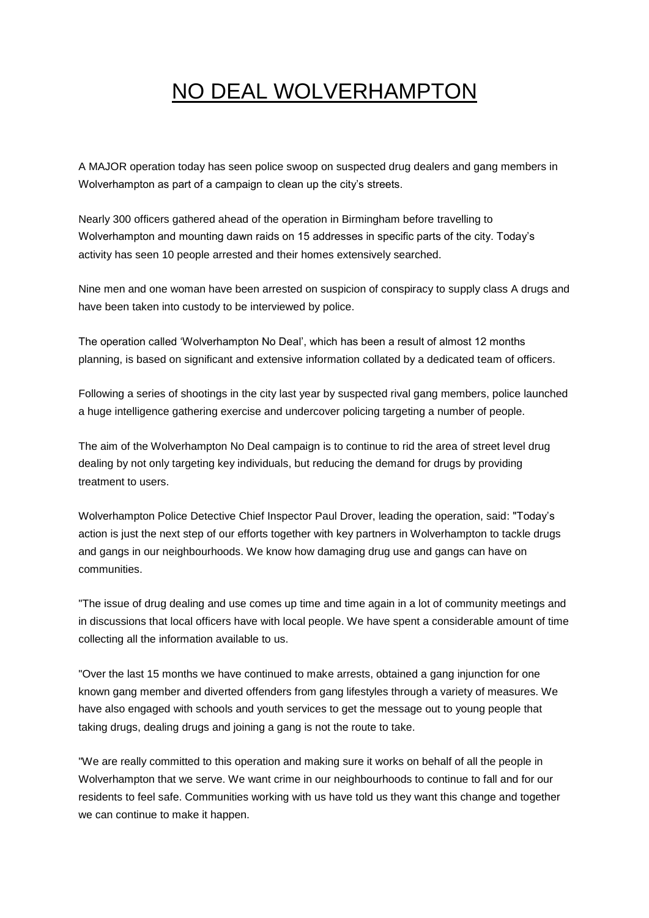## NO DEAL WOLVERHAMPTON

A MAJOR operation today has seen police swoop on suspected drug dealers and gang members in Wolverhampton as part of a campaign to clean up the city's streets.

Nearly 300 officers gathered ahead of the operation in Birmingham before travelling to Wolverhampton and mounting dawn raids on 15 addresses in specific parts of the city. Today's activity has seen 10 people arrested and their homes extensively searched.

Nine men and one woman have been arrested on suspicion of conspiracy to supply class A drugs and have been taken into custody to be interviewed by police.

The operation called 'Wolverhampton No Deal', which has been a result of almost 12 months planning, is based on significant and extensive information collated by a dedicated team of officers.

Following a series of shootings in the city last year by suspected rival gang members, police launched a huge intelligence gathering exercise and undercover policing targeting a number of people.

The aim of the Wolverhampton No Deal campaign is to continue to rid the area of street level drug dealing by not only targeting key individuals, but reducing the demand for drugs by providing treatment to users.

Wolverhampton Police Detective Chief Inspector Paul Drover, leading the operation, said: "Today's action is just the next step of our efforts together with key partners in Wolverhampton to tackle drugs and gangs in our neighbourhoods. We know how damaging drug use and gangs can have on communities.

"The issue of drug dealing and use comes up time and time again in a lot of community meetings and in discussions that local officers have with local people. We have spent a considerable amount of time collecting all the information available to us.

"Over the last 15 months we have continued to make arrests, obtained a gang injunction for one known gang member and diverted offenders from gang lifestyles through a variety of measures. We have also engaged with schools and youth services to get the message out to young people that taking drugs, dealing drugs and joining a gang is not the route to take.

"We are really committed to this operation and making sure it works on behalf of all the people in Wolverhampton that we serve. We want crime in our neighbourhoods to continue to fall and for our residents to feel safe. Communities working with us have told us they want this change and together we can continue to make it happen.